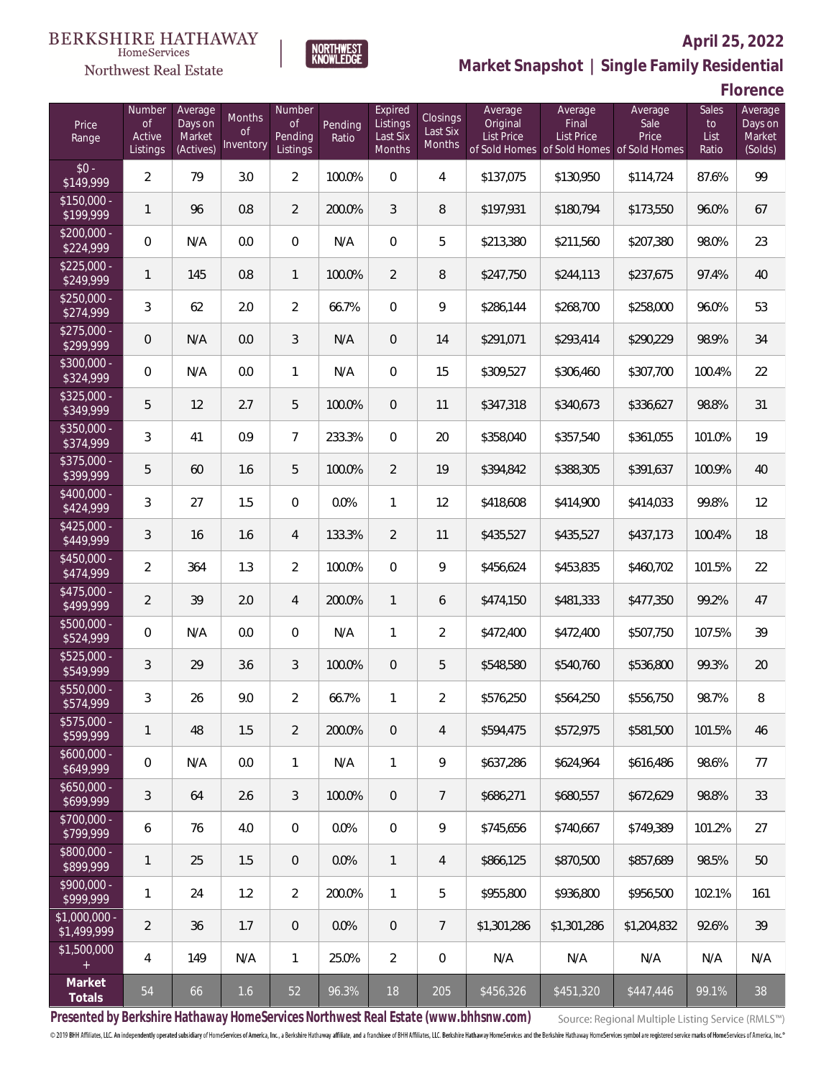#### **BERKSHIRE HATHAWAY** HomeServices





### **April 25, 2022 Market Snapshot | Single Family Residential**

**Florence**

| Price<br>Range                | Number<br>of<br>Active<br>Listings | Average<br>Days on<br>Market<br>(Actives) | Months<br>0f<br>Inventory | Number<br>Οf<br>Pending<br>Listings | Pending<br>Ratio | Expired<br>Listings<br>Last Six<br><b>Months</b> | Closings<br>Last Six<br>Months | Average<br>Original<br><b>List Price</b> | Average<br>Final<br>List Price<br>of Sold Homes of Sold Homes of Sold Homes | Average<br>Sale<br>Price | Sales<br>to<br>List<br>Ratio | Average<br>Days on<br>Market<br>(Solds) |
|-------------------------------|------------------------------------|-------------------------------------------|---------------------------|-------------------------------------|------------------|--------------------------------------------------|--------------------------------|------------------------------------------|-----------------------------------------------------------------------------|--------------------------|------------------------------|-----------------------------------------|
| $$0 -$<br>\$149,999           | $\overline{2}$                     | 79                                        | 3.0                       | $\overline{2}$                      | 100.0%           | $\overline{0}$                                   | 4                              | \$137,075                                | \$130,950                                                                   | \$114,724                | 87.6%                        | 99                                      |
| $$150,000 -$<br>\$199,999     | 1                                  | 96                                        | 0.8                       | $\overline{2}$                      | 200.0%           | 3                                                | 8                              | \$197,931                                | \$180,794                                                                   | \$173,550                | 96.0%                        | 67                                      |
| $$200,000 -$<br>\$224,999     | 0                                  | N/A                                       | 0.0                       | $\mathbf{0}$                        | N/A              | $\overline{0}$                                   | 5                              | \$213,380                                | \$211,560                                                                   | \$207,380                | 98.0%                        | 23                                      |
| $$225,000 -$<br>\$249,999     | 1                                  | 145                                       | 0.8                       | $\mathbf{1}$                        | 100.0%           | $\overline{2}$                                   | 8                              | \$247,750                                | \$244,113                                                                   | \$237,675                | 97.4%                        | 40                                      |
| $$250,000 -$<br>\$274,999     | 3                                  | 62                                        | 2.0                       | $\overline{2}$                      | 66.7%            | $\overline{0}$                                   | 9                              | \$286,144                                | \$268,700                                                                   | \$258,000                | 96.0%                        | 53                                      |
| $$275,000 -$<br>\$299,999     | 0                                  | N/A                                       | 0.0                       | 3                                   | N/A              | $\mathbf{0}$                                     | 14                             | \$291,071                                | \$293,414                                                                   | \$290,229                | 98.9%                        | 34                                      |
| \$300,000 -<br>\$324,999      | 0                                  | N/A                                       | 0.0                       | $\mathbf{1}$                        | N/A              | $\overline{0}$                                   | 15                             | \$309,527                                | \$306,460                                                                   | \$307,700                | 100.4%                       | 22                                      |
| $$325,000 -$<br>\$349,999     | 5                                  | 12                                        | 2.7                       | 5                                   | 100.0%           | $\mathbf{0}$                                     | 11                             | \$347,318                                | \$340,673                                                                   | \$336,627                | 98.8%                        | 31                                      |
| \$350,000 -<br>\$374,999      | 3                                  | 41                                        | 0.9                       | $\overline{7}$                      | 233.3%           | $\overline{0}$                                   | 20                             | \$358,040                                | \$357,540                                                                   | \$361,055                | 101.0%                       | 19                                      |
| $$375,000 -$<br>\$399,999     | 5                                  | 60                                        | 1.6                       | 5                                   | 100.0%           | $\overline{2}$                                   | 19                             | \$394,842                                | \$388,305                                                                   | \$391,637                | 100.9%                       | 40                                      |
| \$400,000 -<br>\$424,999      | 3                                  | 27                                        | 1.5                       | $\overline{0}$                      | 0.0%             | $\mathbf{1}$                                     | 12                             | \$418,608                                | \$414,900                                                                   | \$414,033                | 99.8%                        | 12                                      |
| $$425,000 -$<br>\$449,999     | 3                                  | 16                                        | 1.6                       | $\overline{4}$                      | 133.3%           | $\overline{2}$                                   | 11                             | \$435,527                                | \$435,527                                                                   | \$437,173                | 100.4%                       | 18                                      |
| \$450,000 -<br>\$474,999      | $\overline{2}$                     | 364                                       | 1.3                       | $\overline{2}$                      | 100.0%           | $\overline{0}$                                   | 9                              | \$456,624                                | \$453,835                                                                   | \$460,702                | 101.5%                       | 22                                      |
| $$475,000 -$<br>\$499,999     | $\overline{2}$                     | 39                                        | 2.0                       | $\overline{4}$                      | 200.0%           | $\mathbf{1}$                                     | 6                              | \$474,150                                | \$481,333                                                                   | \$477,350                | 99.2%                        | 47                                      |
| \$500,000 -<br>\$524,999      | $\boldsymbol{0}$                   | N/A                                       | 0.0                       | $\overline{0}$                      | N/A              | 1                                                | $\overline{2}$                 | \$472,400                                | \$472,400                                                                   | \$507,750                | 107.5%                       | 39                                      |
| \$525,000 -<br>\$549,999      | 3                                  | 29                                        | 3.6                       | 3                                   | 100.0%           | $\overline{0}$                                   | 5                              | \$548,580                                | \$540,760                                                                   | \$536,800                | 99.3%                        | 20                                      |
| \$550,000 -<br>\$574,999      | 3                                  | 26                                        | 9.0                       | $\overline{2}$                      | 66.7%            | 1                                                | $\overline{2}$                 | \$576,250                                | \$564,250                                                                   | \$556,750                | 98.7%                        | 8                                       |
| $$575,000 -$<br>\$599,999     | 1                                  | 48                                        | 1.5                       | $\overline{2}$                      | 200.0%           | $\overline{0}$                                   | 4                              | \$594,475                                | \$572,975                                                                   | \$581,500                | 101.5%                       | 46                                      |
| $$600,000 -$<br>\$649,999     | 0                                  | N/A                                       | 0.0                       | $\mathbf{1}$                        | N/A              | $\mathbf{1}$                                     | 9                              | \$637,286                                | \$624,964                                                                   | \$616.486                | 98.6%                        | 77                                      |
| $$650,000 -$<br>\$699,999     | 3                                  | 64                                        | 2.6                       | 3                                   | 100.0%           | $\overline{0}$                                   | $\overline{7}$                 | \$686,271                                | \$680,557                                                                   | \$672,629                | 98.8%                        | 33                                      |
| \$700,000 -<br>\$799,999      | 6                                  | 76                                        | 4.0                       | $\overline{0}$                      | 0.0%             | $\overline{0}$                                   | 9                              | \$745,656                                | \$740,667                                                                   | \$749,389                | 101.2%                       | 27                                      |
| \$800,000 -<br>\$899,999      | 1                                  | 25                                        | 1.5                       | $\theta$                            | 0.0%             | $\mathbf{1}$                                     | 4                              | \$866,125                                | \$870,500                                                                   | \$857,689                | 98.5%                        | 50                                      |
| \$900,000 -<br>\$999,999      | 1                                  | 24                                        | 1.2                       | $\overline{2}$                      | 200.0%           | $\mathbf{1}$                                     | 5                              | \$955,800                                | \$936,800                                                                   | \$956,500                | 102.1%                       | 161                                     |
| $$1,000,000$ -<br>\$1,499,999 | $\overline{2}$                     | 36                                        | 1.7                       | $\theta$                            | 0.0%             | $\overline{0}$                                   | 7                              | \$1,301,286                              | \$1,301,286                                                                 | \$1,204,832              | 92.6%                        | 39                                      |
| \$1,500,000                   | 4                                  | 149                                       | N/A                       | $\mathbf{1}$                        | 25.0%            | $\overline{2}$                                   | 0                              | N/A                                      | N/A                                                                         | N/A                      | N/A                          | N/A                                     |
| Market<br>Totals              | 54                                 | 66                                        | 1.6                       | 52                                  | 96.3%            | 18                                               | 205                            | \$456,326                                | \$451,320                                                                   | \$447,446                | 99.1%                        | 38                                      |

**Presented by Berkshire Hathaway HomeServices Northwest Real Estate (www.bhhsnw.com)**

Source: Regional Multiple Listing Service (RMLS™)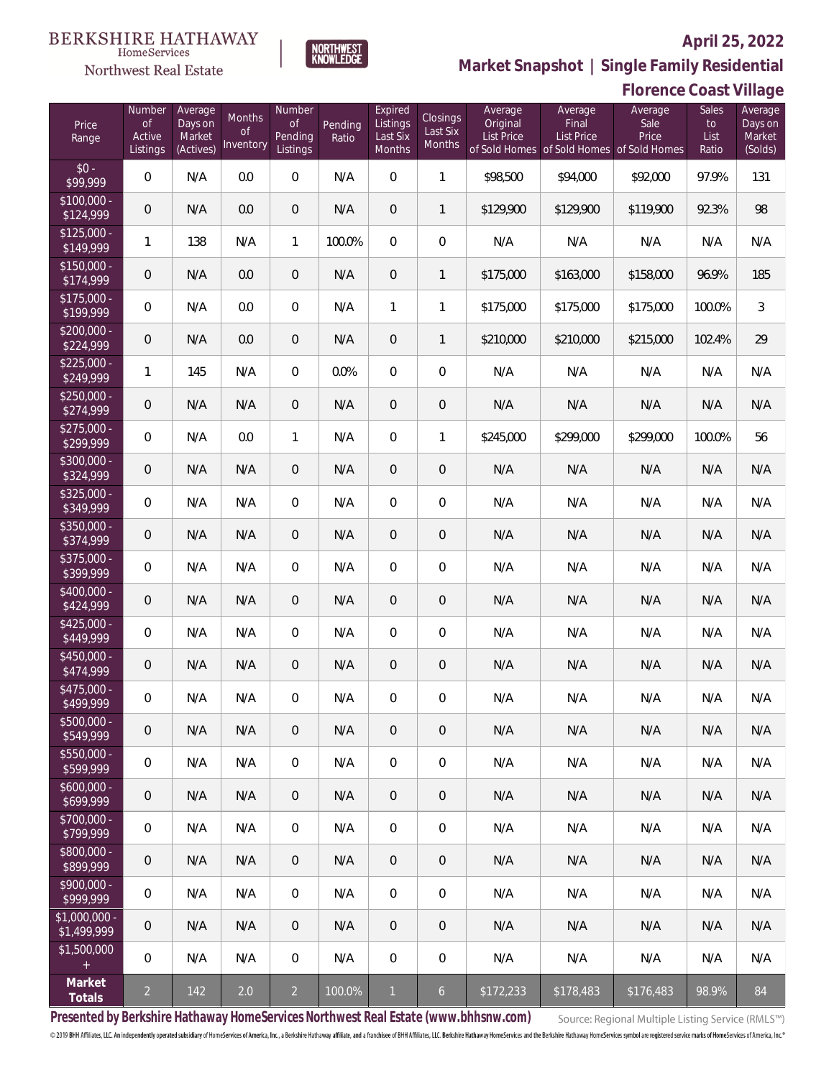**Florence Coast Village**



NORTHWEST<br>KNOWLEDGE

**Market Snapshot | Single Family Residential**

#### $\label{lem:sevices} \textsc{Home} \textsc{Service} \textsc{s}$ Northwest Real Estate

| Price<br>Range                | Number<br>of<br>Active<br>Listings | Average<br>Days on<br>Market<br>(Actives) | Months<br><b>of</b><br>Inventory | Number<br><b>of</b><br>Pending<br>Listings | Pending<br>Ratio | Expired<br>Listings<br>Last Six<br>Months | Closings<br>Last Six<br>Months | Average<br>Original<br>List Price | Average<br>Final<br>List Price<br>of Sold Homes of Sold Homes of Sold Homes | Average<br>Sale<br>Price | Sales<br>to<br>List<br>Ratio | Average<br>Days on<br>Market<br>(Solds) |
|-------------------------------|------------------------------------|-------------------------------------------|----------------------------------|--------------------------------------------|------------------|-------------------------------------------|--------------------------------|-----------------------------------|-----------------------------------------------------------------------------|--------------------------|------------------------------|-----------------------------------------|
| $$0 -$<br>\$99,999            | $\overline{0}$                     | N/A                                       | 0.0                              | $\Omega$                                   | N/A              | $\Omega$                                  | 1                              | \$98,500                          | \$94,000                                                                    | \$92,000                 | 97.9%                        | 131                                     |
| $$100,000 -$<br>\$124,999     | 0                                  | N/A                                       | 0.0                              | $\overline{0}$                             | N/A              | $\overline{0}$                            | $\mathbf{1}$                   | \$129,900                         | \$129,900                                                                   | \$119,900                | 92.3%                        | 98                                      |
| $$125,000 -$<br>\$149,999     | 1                                  | 138                                       | N/A                              | $\mathbf{1}$                               | 100.0%           | $\overline{0}$                            | $\mathbf 0$                    | N/A                               | N/A                                                                         | N/A                      | N/A                          | N/A                                     |
| $$150,000 -$<br>\$174,999     | 0                                  | N/A                                       | 0.0                              | $\overline{0}$                             | N/A              | $\overline{0}$                            | $\mathbf{1}$                   | \$175,000                         | \$163,000                                                                   | \$158,000                | 96.9%                        | 185                                     |
| $$175,000 -$<br>\$199,999     | $\boldsymbol{0}$                   | N/A                                       | 0.0                              | $\overline{0}$                             | N/A              | $\mathbf{1}$                              | 1                              | \$175,000                         | \$175,000                                                                   | \$175,000                | 100.0%                       | $\mathfrak{Z}$                          |
| $$200,000 -$<br>\$224,999     | $\boldsymbol{0}$                   | N/A                                       | 0.0                              | $\overline{0}$                             | N/A              | $\overline{0}$                            | $\mathbf{1}$                   | \$210,000                         | \$210,000                                                                   | \$215,000                | 102.4%                       | 29                                      |
| $$225,000 -$<br>\$249,999     | 1                                  | 145                                       | N/A                              | $\overline{0}$                             | 0.0%             | $\overline{0}$                            | $\overline{0}$                 | N/A                               | N/A                                                                         | N/A                      | N/A                          | N/A                                     |
| $$250,000 -$<br>\$274,999     | $\mathbf 0$                        | N/A                                       | N/A                              | $\overline{0}$                             | N/A              | $\overline{0}$                            | $\mathbf 0$                    | N/A                               | N/A                                                                         | N/A                      | N/A                          | N/A                                     |
| $$275,000 -$<br>\$299,999     | $\boldsymbol{0}$                   | N/A                                       | 0.0                              | $\mathbf{1}$                               | N/A              | $\overline{0}$                            | 1                              | \$245,000                         | \$299,000                                                                   | \$299,000                | 100.0%                       | 56                                      |
| \$300,000 -<br>\$324,999      | $\boldsymbol{0}$                   | N/A                                       | N/A                              | $\overline{0}$                             | N/A              | $\overline{0}$                            | $\mathbf 0$                    | N/A                               | N/A                                                                         | N/A                      | N/A                          | N/A                                     |
| $$325,000 -$<br>\$349,999     | $\overline{0}$                     | N/A                                       | N/A                              | $\overline{0}$                             | N/A              | $\overline{0}$                            | $\overline{0}$                 | N/A                               | N/A                                                                         | N/A                      | N/A                          | N/A                                     |
| \$350,000 -<br>\$374,999      | $\mathbf 0$                        | N/A                                       | N/A                              | $\overline{0}$                             | N/A              | $\overline{0}$                            | $\mathbf 0$                    | N/A                               | N/A                                                                         | N/A                      | N/A                          | N/A                                     |
| \$375,000 -<br>\$399,999      | $\overline{0}$                     | N/A                                       | N/A                              | $\overline{0}$                             | N/A              | $\overline{0}$                            | $\overline{0}$                 | N/A                               | N/A                                                                         | N/A                      | N/A                          | N/A                                     |
| \$400,000 -<br>\$424,999      | $\mathbf 0$                        | N/A                                       | N/A                              | $\overline{0}$                             | N/A              | $\overline{0}$                            | $\mathbf 0$                    | N/A                               | N/A                                                                         | N/A                      | N/A                          | N/A                                     |
| $$425,000 -$<br>\$449,999     | $\boldsymbol{0}$                   | N/A                                       | N/A                              | $\overline{0}$                             | N/A              | $\overline{0}$                            | $\mathbf 0$                    | N/A                               | N/A                                                                         | N/A                      | N/A                          | N/A                                     |
| $$450,000 -$<br>\$474,999     | $\theta$                           | N/A                                       | N/A                              | $\overline{0}$                             | N/A              | $\overline{0}$                            | $\mathbf 0$                    | N/A                               | N/A                                                                         | N/A                      | N/A                          | N/A                                     |
| \$475,000 -<br>\$499,999      | 0                                  | N/A                                       | N/A                              | 0                                          | N/A              | 0                                         | $\mathbf 0$                    | N/A                               | N/A                                                                         | N/A                      | N/A                          | N/A                                     |
| $$500,000 -$<br>\$549,999     | 0                                  | N/A                                       | N/A                              | $\overline{0}$                             | N/A              | 0                                         | $\mathbf 0$                    | N/A                               | N/A                                                                         | N/A                      | N/A                          | N/A                                     |
| $$550,000 -$<br>\$599,999     | 0                                  | N/A                                       | N/A                              | $\mathbf 0$                                | N/A              | $\mathbf 0$                               | $\mathbf 0$                    | N/A                               | N/A                                                                         | N/A                      | N/A                          | N/A                                     |
| $$600,000 -$<br>\$699,999     | $\mathbf 0$                        | N/A                                       | N/A                              | $\overline{0}$                             | N/A              | $\overline{0}$                            | $\theta$                       | N/A                               | N/A                                                                         | N/A                      | N/A                          | N/A                                     |
| \$700,000 -<br>\$799,999      | 0                                  | N/A                                       | N/A                              | $\overline{0}$                             | N/A              | $\mathbf 0$                               | $\mathbf{0}$                   | N/A                               | N/A                                                                         | N/A                      | N/A                          | N/A                                     |
| \$800,000 -<br>\$899,999      | $\mathbf 0$                        | N/A                                       | N/A                              | $\overline{0}$                             | N/A              | $\overline{0}$                            | $\theta$                       | N/A                               | N/A                                                                         | N/A                      | N/A                          | N/A                                     |
| $$900,000 -$<br>\$999,999     | 0                                  | N/A                                       | N/A                              | $\mathbf 0$                                | N/A              | $\mathbf 0$                               | $\mathbf{0}$                   | N/A                               | N/A                                                                         | N/A                      | N/A                          | N/A                                     |
| $$1,000,000 -$<br>\$1,499,999 | $\theta$                           | N/A                                       | N/A                              | $\overline{0}$                             | N/A              | $\overline{0}$                            | $\theta$                       | N/A                               | N/A                                                                         | N/A                      | N/A                          | N/A                                     |
| \$1,500,000<br>$+$ $\,$       | 0                                  | N/A                                       | N/A                              | $\mathbf 0$                                | N/A              | $\mathbf{0}$                              | $\mathbf 0$                    | N/A                               | N/A                                                                         | N/A                      | N/A                          | N/A                                     |
| Market<br>Totals              | $\overline{a}$                     | 142                                       | 2.0                              | $\overline{2}$                             | 100.0%           | $\mathbf{1}$                              | $6\overline{6}$                | \$172,233                         | \$178,483                                                                   | \$176,483                | 98.9%                        | 84                                      |

**Presented by Berkshire Hathaway HomeServices Northwest Real Estate (www.bhhsnw.com)**

Source: Regional Multiple Listing Service (RMLS™)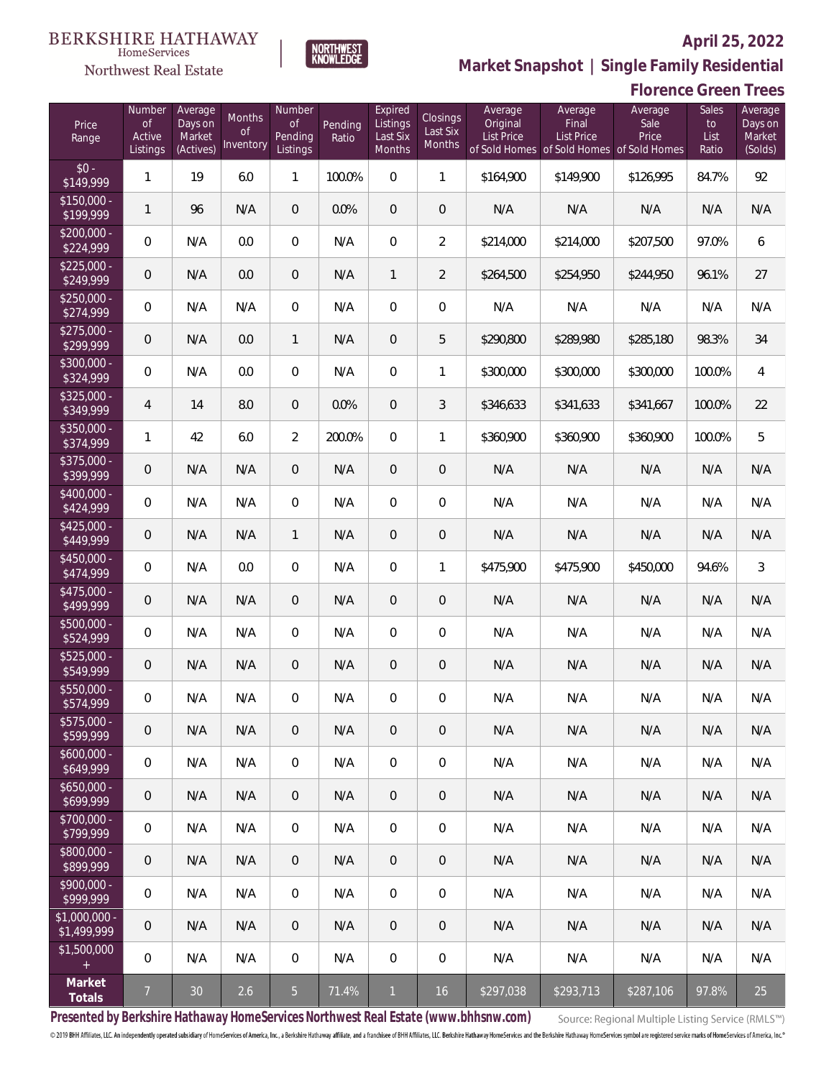

NORTHWEST<br>KNOWLEDGE

Northwest Real Estate

**Market Snapshot | Single Family Residential**

## **Florence Green Trees**

| Price<br>Range               | Number<br>of<br>Active<br>Listings | Average<br>Days on<br>Market<br>(Actives) | <b>Months</b><br>0f<br>Inventory | Number<br><b>of</b><br>Pending<br>Listings | Pending<br>Ratio | Expired<br>Listings<br>Last Six<br>Months | Closings<br>Last Six<br>Months | Average<br>Original<br><b>List Price</b> | Average<br>Final<br>List Price<br>of Sold Homes of Sold Homes | Average<br>Sale<br>Price<br>of Sold Homes | Sales<br>to<br>List<br>Ratio | Average<br>Days on<br>Market<br>(Solds) |
|------------------------------|------------------------------------|-------------------------------------------|----------------------------------|--------------------------------------------|------------------|-------------------------------------------|--------------------------------|------------------------------------------|---------------------------------------------------------------|-------------------------------------------|------------------------------|-----------------------------------------|
| $$0 -$<br>\$149,999          | 1                                  | 19                                        | 6.0                              | $\mathbf{1}$                               | 100.0%           | $\Omega$                                  | $\mathbf{1}$                   | \$164,900                                | \$149,900                                                     | \$126,995                                 | 84.7%                        | 92                                      |
| $$150,000 -$<br>\$199,999    | 1                                  | 96                                        | N/A                              | $\overline{0}$                             | 0.0%             | $\overline{0}$                            | 0                              | N/A                                      | N/A                                                           | N/A                                       | N/A                          | N/A                                     |
| $$200,000 -$<br>\$224,999    | $\overline{0}$                     | N/A                                       | 0.0                              | $\overline{0}$                             | N/A              | $\overline{0}$                            | $\overline{2}$                 | \$214,000                                | \$214,000                                                     | \$207,500                                 | 97.0%                        | 6                                       |
| $$225,000 -$<br>\$249,999    | $\overline{0}$                     | N/A                                       | 0.0                              | $\overline{0}$                             | N/A              | 1                                         | $\overline{2}$                 | \$264,500                                | \$254,950                                                     | \$244,950                                 | 96.1%                        | 27                                      |
| $$250,000 -$<br>\$274,999    | $\overline{0}$                     | N/A                                       | N/A                              | $\overline{0}$                             | N/A              | $\Omega$                                  | 0                              | N/A                                      | N/A                                                           | N/A                                       | N/A                          | N/A                                     |
| $$275,000 -$<br>\$299,999    | 0                                  | N/A                                       | 0.0                              | $\mathbf{1}$                               | N/A              | $\mathbf{0}$                              | 5                              | \$290,800                                | \$289,980                                                     | \$285,180                                 | 98.3%                        | 34                                      |
| $$300,000 -$<br>\$324,999    | $\overline{0}$                     | N/A                                       | 0.0                              | $\overline{0}$                             | N/A              | $\Omega$                                  | $\mathbf{1}$                   | \$300,000                                | \$300,000                                                     | \$300,000                                 | 100.0%                       | 4                                       |
| $$325,000 -$<br>\$349,999    | 4                                  | 14                                        | 8.0                              | $\overline{0}$                             | 0.0%             | $\Omega$                                  | 3                              | \$346,633                                | \$341,633                                                     | \$341,667                                 | 100.0%                       | 22                                      |
| $$350,000 -$<br>\$374,999    | 1                                  | 42                                        | 6.0                              | $\overline{2}$                             | 200.0%           | $\Omega$                                  | $\mathbf{1}$                   | \$360,900                                | \$360,900                                                     | \$360,900                                 | 100.0%                       | 5                                       |
| $$375,000 -$<br>\$399,999    | 0                                  | N/A                                       | N/A                              | $\overline{0}$                             | N/A              | $\overline{0}$                            | 0                              | N/A                                      | N/A                                                           | N/A                                       | N/A                          | N/A                                     |
| $$400,000 -$<br>\$424,999    | 0                                  | N/A                                       | N/A                              | $\overline{0}$                             | N/A              | $\Omega$                                  | $\overline{0}$                 | N/A                                      | N/A                                                           | N/A                                       | N/A                          | N/A                                     |
| $$425,000 -$<br>\$449,999    | $\overline{0}$                     | N/A                                       | N/A                              | $\mathbf{1}$                               | N/A              | $\mathbf{0}$                              | 0                              | N/A                                      | N/A                                                           | N/A                                       | N/A                          | N/A                                     |
| \$450,000 -<br>\$474,999     | $\overline{0}$                     | N/A                                       | 0.0                              | $\overline{0}$                             | N/A              | $\Omega$                                  | $\mathbf{1}$                   | \$475,900                                | \$475,900                                                     | \$450,000                                 | 94.6%                        | $\mathfrak{Z}$                          |
| $$475,000 -$<br>\$499,999    | $\overline{0}$                     | N/A                                       | N/A                              | $\overline{0}$                             | N/A              | $\mathbf{0}$                              | $\overline{0}$                 | N/A                                      | N/A                                                           | N/A                                       | N/A                          | N/A                                     |
| $$500,000 -$<br>\$524,999    | 0                                  | N/A                                       | N/A                              | $\overline{0}$                             | N/A              | $\Omega$                                  | 0                              | N/A                                      | N/A                                                           | N/A                                       | N/A                          | N/A                                     |
| $$525,000 -$<br>\$549,999    | $\theta$                           | N/A                                       | N/A                              | $\overline{0}$                             | N/A              | $\overline{0}$                            | 0                              | N/A                                      | N/A                                                           | N/A                                       | N/A                          | N/A                                     |
| \$550,000 -<br>\$574,999     | 0                                  | N/A                                       | N/A                              | $\overline{0}$                             | N/A              | $\mathbf{0}$                              | 0                              | N/A                                      | N/A                                                           | N/A                                       | N/A                          | N/A                                     |
| $$575,000 -$<br>\$599,999    | $\mathbf 0$                        | N/A                                       | N/A                              | $\theta$                                   | N/A              | $\theta$                                  | 0                              | N/A                                      | N/A                                                           | N/A                                       | N/A                          | N/A                                     |
| $$600,000 -$<br>\$649,999    | $\boldsymbol{0}$                   | N/A                                       | N/A                              | 0                                          | N/A              | $\overline{0}$                            | 0                              | N/A                                      | N/A                                                           | N/A                                       | N/A                          | N/A                                     |
| $$650,000 -$<br>\$699,999    | $\mathbf 0$                        | N/A                                       | N/A                              | $\overline{0}$                             | N/A              | $\theta$                                  | 0                              | N/A                                      | N/A                                                           | N/A                                       | N/A                          | N/A                                     |
| $$700,000 -$<br>\$799,999    | 0                                  | N/A                                       | N/A                              | 0                                          | N/A              | $\mathbf 0$                               | 0                              | N/A                                      | N/A                                                           | N/A                                       | N/A                          | N/A                                     |
| $$800,000 -$<br>\$899,999    | $\mathbf 0$                        | N/A                                       | N/A                              | $\overline{0}$                             | N/A              | $\theta$                                  | 0                              | N/A                                      | N/A                                                           | N/A                                       | N/A                          | N/A                                     |
| $$900,000 -$<br>\$999,999    | 0                                  | N/A                                       | N/A                              | 0                                          | N/A              | $\mathbf 0$                               | 0                              | N/A                                      | N/A                                                           | N/A                                       | N/A                          | N/A                                     |
| \$1,000,000 -<br>\$1,499,999 | $\mathbf 0$                        | N/A                                       | N/A                              | $\overline{0}$                             | N/A              | $\theta$                                  | 0                              | N/A                                      | N/A                                                           | N/A                                       | N/A                          | N/A                                     |
| \$1,500,000<br>$\pm$         | 0                                  | N/A                                       | N/A                              | 0                                          | N/A              | $\mathbf 0$                               | 0                              | N/A                                      | N/A                                                           | N/A                                       | N/A                          | N/A                                     |
| Market<br>Totals             | $\overline{7}$                     | 30                                        | 2.6                              | $\overline{5}$                             | 71.4%            | $\mathbf{1}$                              | 16                             | \$297,038                                | \$293,713                                                     | \$287,106                                 | 97.8%                        | 25                                      |

**Presented by Berkshire Hathaway HomeServices Northwest Real Estate (www.bhhsnw.com)**

Source: Regional Multiple Listing Service (RMLS™)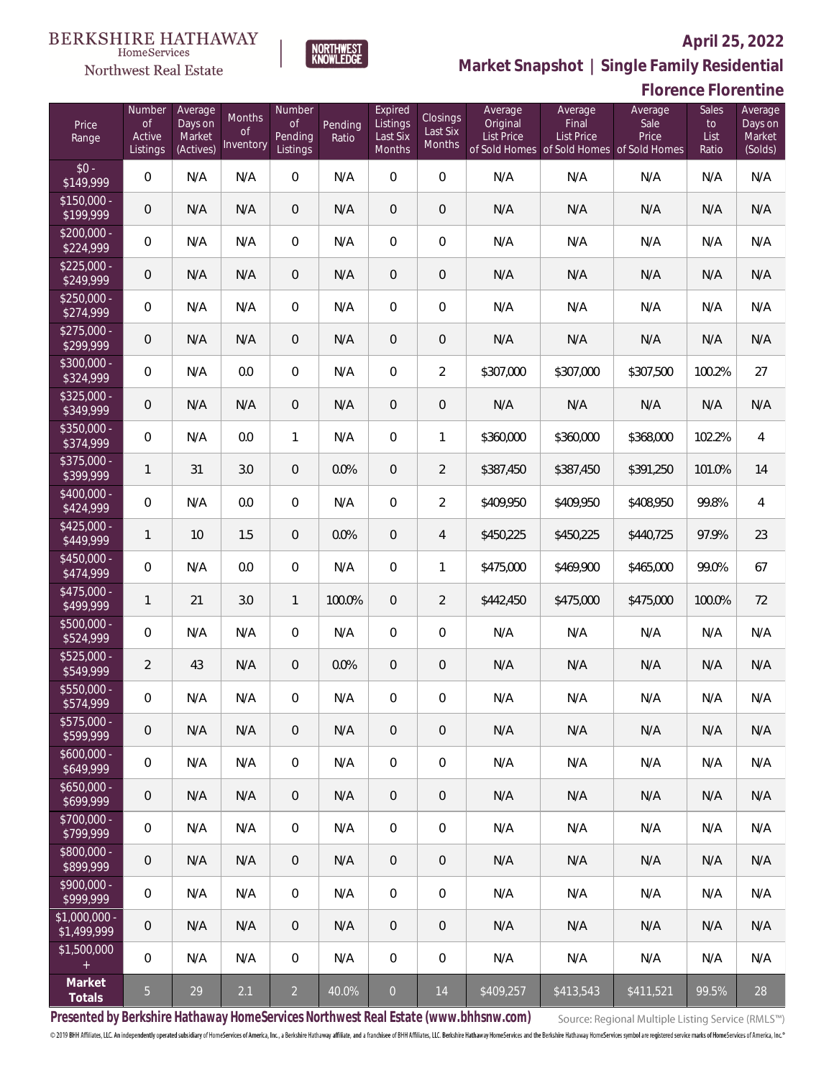

HomeServices Northwest Real Estate

**Market Snapshot | Single Family Residential**

#### **Florence Florentine**

| Price<br>Range                | Number<br><b>of</b><br>Active<br>Listings | Average<br>Days on<br>Market<br>(Actives) | Months<br>0f<br>Inventory | Number<br><b>of</b><br>Pending<br>Listings | Pending<br>Ratio | Expired<br>Listings<br>Last Six<br>Months | Closings<br>Last Six<br>Months | Average<br>Original<br><b>List Price</b> | Average<br>Final<br>List Price<br>of Sold Homes of Sold Homes of Sold Homes | Average<br>Sale<br>Price | Sales<br>to<br>List<br>Ratio | Average<br>Days on<br>Market<br>(Solds) |
|-------------------------------|-------------------------------------------|-------------------------------------------|---------------------------|--------------------------------------------|------------------|-------------------------------------------|--------------------------------|------------------------------------------|-----------------------------------------------------------------------------|--------------------------|------------------------------|-----------------------------------------|
| $$0 -$<br>\$149,999           | $\overline{0}$                            | N/A                                       | N/A                       | $\Omega$                                   | N/A              | $\overline{0}$                            | $\overline{0}$                 | N/A                                      | N/A                                                                         | N/A                      | N/A                          | N/A                                     |
| $$150,000 -$<br>\$199,999     | $\overline{0}$                            | N/A                                       | N/A                       | $\overline{0}$                             | N/A              | $\overline{0}$                            | $\overline{0}$                 | N/A                                      | N/A                                                                         | N/A                      | N/A                          | N/A                                     |
| $$200,000 -$<br>\$224,999     | $\overline{0}$                            | N/A                                       | N/A                       | $\overline{0}$                             | N/A              | 0                                         | $\overline{0}$                 | N/A                                      | N/A                                                                         | N/A                      | N/A                          | N/A                                     |
| $$225,000 -$<br>\$249,999     | $\overline{0}$                            | N/A                                       | N/A                       | $\overline{0}$                             | N/A              | $\overline{0}$                            | $\overline{0}$                 | N/A                                      | N/A                                                                         | N/A                      | N/A                          | N/A                                     |
| $$250,000 -$<br>\$274,999     | $\overline{0}$                            | N/A                                       | N/A                       | $\overline{0}$                             | N/A              | $\overline{0}$                            | $\overline{0}$                 | N/A                                      | N/A                                                                         | N/A                      | N/A                          | N/A                                     |
| $$275,000 -$<br>\$299,999     | $\overline{0}$                            | N/A                                       | N/A                       | $\overline{0}$                             | N/A              | $\overline{0}$                            | $\overline{0}$                 | N/A                                      | N/A                                                                         | N/A                      | N/A                          | N/A                                     |
| $$300,000 -$<br>\$324,999     | $\overline{0}$                            | N/A                                       | 0.0                       | $\overline{0}$                             | N/A              | $\overline{0}$                            | $\overline{2}$                 | \$307,000                                | \$307,000                                                                   | \$307,500                | 100.2%                       | 27                                      |
| $$325,000 -$<br>\$349,999     | $\mathbf 0$                               | N/A                                       | N/A                       | $\overline{0}$                             | N/A              | $\overline{0}$                            | $\overline{0}$                 | N/A                                      | N/A                                                                         | N/A                      | N/A                          | N/A                                     |
| $$350,000 -$<br>\$374,999     | $\overline{0}$                            | N/A                                       | 0.0                       | $\mathbf{1}$                               | N/A              | $\overline{0}$                            | 1                              | \$360,000                                | \$360,000                                                                   | \$368,000                | 102.2%                       | $\overline{4}$                          |
| $$375,000 -$<br>\$399,999     | $\mathbf{1}$                              | 31                                        | 3.0                       | $\overline{0}$                             | 0.0%             | $\overline{0}$                            | $\overline{2}$                 | \$387,450                                | \$387,450                                                                   | \$391,250                | 101.0%                       | 14                                      |
| $$400,000 -$<br>\$424,999     | $\mathbf 0$                               | N/A                                       | 0.0                       | $\mathbf{0}$                               | N/A              | $\overline{0}$                            | $\overline{2}$                 | \$409,950                                | \$409,950                                                                   | \$408,950                | 99.8%                        | $\overline{4}$                          |
| $$425,000 -$<br>\$449,999     | $\mathbf{1}$                              | 10                                        | 1.5                       | $\overline{0}$                             | 0.0%             | $\overline{0}$                            | $\overline{4}$                 | \$450,225                                | \$450,225                                                                   | \$440,725                | 97.9%                        | 23                                      |
| \$450,000 -<br>\$474,999      | $\mathbf 0$                               | N/A                                       | 0.0                       | $\mathbf{0}$                               | N/A              | $\overline{0}$                            | 1                              | \$475,000                                | \$469,900                                                                   | \$465,000                | 99.0%                        | 67                                      |
| $$475,000 -$<br>\$499,999     | $\mathbf{1}$                              | 21                                        | 3.0                       | $\mathbf{1}$                               | 100.0%           | $\overline{0}$                            | $\overline{2}$                 | \$442,450                                | \$475,000                                                                   | \$475,000                | 100.0%                       | 72                                      |
| \$500,000 -<br>\$524,999      | $\mathbf 0$                               | N/A                                       | N/A                       | $\mathbf{0}$                               | N/A              | 0                                         | $\overline{0}$                 | N/A                                      | N/A                                                                         | N/A                      | N/A                          | N/A                                     |
| $$525,000 -$<br>\$549,999     | $\overline{2}$                            | 43                                        | N/A                       | $\overline{0}$                             | 0.0%             | $\overline{0}$                            | $\mathbf 0$                    | N/A                                      | N/A                                                                         | N/A                      | N/A                          | N/A                                     |
| \$550,000 -<br>\$574,999      | $\mathbf 0$                               | N/A                                       | N/A                       | $\mathbf{0}$                               | N/A              | 0                                         | 0                              | N/A                                      | N/A                                                                         | N/A                      | N/A                          | N/A                                     |
| $$575,000 -$<br>\$599,999     | $\mathbf 0$                               | N/A                                       | N/A                       | $\mathbf 0$                                | N/A              | 0                                         | $\theta$                       | N/A                                      | N/A                                                                         | N/A                      | N/A                          | N/A                                     |
| $$600,000 -$<br>\$649,999     | $\mathbf 0$                               | N/A                                       | N/A                       | $\boldsymbol{0}$                           | N/A              | 0                                         | $\boldsymbol{0}$               | N/A                                      | N/A                                                                         | N/A                      | N/A                          | N/A                                     |
| $$650,000 -$<br>\$699,999     | $\theta$                                  | N/A                                       | N/A                       | $\mathbf 0$                                | N/A              | 0                                         | 0                              | N/A                                      | N/A                                                                         | N/A                      | N/A                          | N/A                                     |
| $$700,000 -$<br>\$799,999     | 0                                         | N/A                                       | N/A                       | 0                                          | N/A              | 0                                         | $\boldsymbol{0}$               | N/A                                      | N/A                                                                         | N/A                      | N/A                          | N/A                                     |
| $$800,000 -$<br>\$899,999     | $\theta$                                  | N/A                                       | N/A                       | $\mathbf 0$                                | N/A              | 0                                         | $\theta$                       | N/A                                      | N/A                                                                         | N/A                      | N/A                          | N/A                                     |
| $$900,000 -$<br>\$999,999     | $\mathbf 0$                               | N/A                                       | N/A                       | $\overline{0}$                             | N/A              | 0                                         | $\boldsymbol{0}$               | N/A                                      | N/A                                                                         | N/A                      | N/A                          | N/A                                     |
| $$1,000,000$ -<br>\$1,499,999 | $\mathbf 0$                               | N/A                                       | N/A                       | $\mathbf 0$                                | N/A              | 0                                         | 0                              | N/A                                      | N/A                                                                         | N/A                      | N/A                          | N/A                                     |
| \$1,500,000<br>$\pm$          | $\mathbf 0$                               | N/A                                       | N/A                       | 0                                          | N/A              | $\mathbf 0$                               | $\boldsymbol{0}$               | N/A                                      | N/A                                                                         | N/A                      | N/A                          | N/A                                     |
| Market<br>Totals              | $\overline{5}$                            | 29                                        | 2.1                       | $\overline{2}$                             | 40.0%            | $\overline{0}$                            | 14                             | \$409,257                                | \$413,543                                                                   | \$411,521                | 99.5%                        | 28                                      |

**Presented by Berkshire Hathaway HomeServices Northwest Real Estate (www.bhhsnw.com)**

Source: Regional Multiple Listing Service (RMLS™)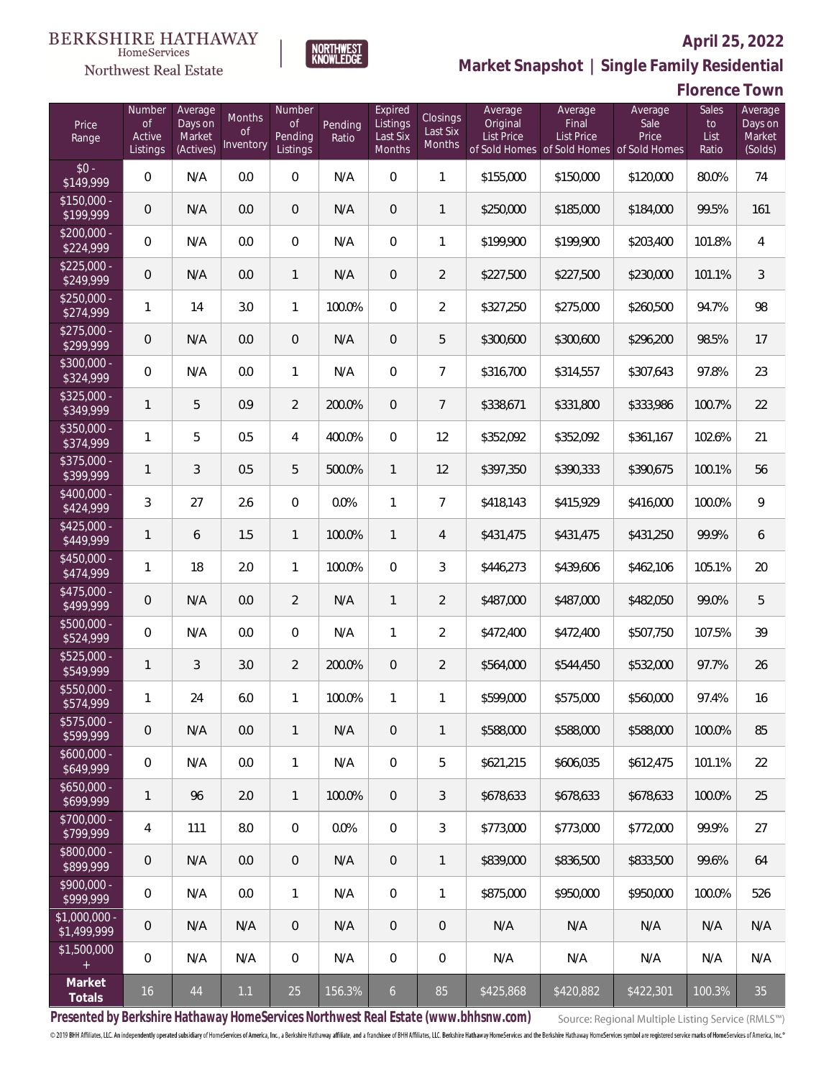#### **BERKSHIRE HATHAWAY** HomeServices

## Northwest Real Estate



### **April 25, 2022 Market Snapshot | Single Family Residential**

# **Florence Town**

| Price<br>Range               | Number<br><b>of</b><br>Active<br>Listings | Average<br>Days on<br>Market<br>(Actives) | Months<br>0f<br>Inventory | Number<br>Οf<br>Pending<br>Listings | Pending<br>Ratio | Expired<br>Listings<br>Last Six<br>Months | Closings<br>Last Six<br>Months | Average<br>Original<br>List Price | Average<br>Final<br><b>List Price</b> | Average<br>Sale<br>Price<br>of Sold Homes of Sold Homes of Sold Homes | Sales<br>to<br>List<br>Ratio | Average<br>Days on<br>Market<br>(Solds) |
|------------------------------|-------------------------------------------|-------------------------------------------|---------------------------|-------------------------------------|------------------|-------------------------------------------|--------------------------------|-----------------------------------|---------------------------------------|-----------------------------------------------------------------------|------------------------------|-----------------------------------------|
| $$0 -$<br>\$149,999          | 0                                         | N/A                                       | 0.0                       | $\overline{0}$                      | N/A              | $\overline{0}$                            | $\mathbf{1}$                   | \$155,000                         | \$150,000                             | \$120,000                                                             | 80.0%                        | 74                                      |
| $$150,000 -$<br>\$199,999    | 0                                         | N/A                                       | 0.0                       | $\overline{0}$                      | N/A              | $\overline{0}$                            | $\mathbf{1}$                   | \$250,000                         | \$185,000                             | \$184,000                                                             | 99.5%                        | 161                                     |
| $$200,000 -$<br>\$224,999    | 0                                         | N/A                                       | 0.0                       | $\overline{0}$                      | N/A              | $\overline{0}$                            | 1                              | \$199,900                         | \$199,900                             | \$203,400                                                             | 101.8%                       | $\overline{4}$                          |
| $$225,000 -$<br>\$249,999    | 0                                         | N/A                                       | 0.0                       | $\mathbf{1}$                        | N/A              | $\overline{0}$                            | $\overline{2}$                 | \$227,500                         | \$227,500                             | \$230,000                                                             | 101.1%                       | $\mathfrak{Z}$                          |
| $$250,000 -$<br>\$274,999    | $\mathbf{1}$                              | 14                                        | 3.0                       | $\mathbf{1}$                        | 100.0%           | $\Omega$                                  | $\overline{2}$                 | \$327,250                         | \$275,000                             | \$260,500                                                             | 94.7%                        | 98                                      |
| $$275,000 -$<br>\$299,999    | 0                                         | N/A                                       | 0.0                       | $\overline{0}$                      | N/A              | $\overline{0}$                            | 5                              | \$300,600                         | \$300,600                             | \$296,200                                                             | 98.5%                        | 17                                      |
| $$300,000 -$<br>\$324,999    | 0                                         | N/A                                       | 0.0                       | $\mathbf{1}$                        | N/A              | $\overline{0}$                            | $\overline{7}$                 | \$316,700                         | \$314,557                             | \$307,643                                                             | 97.8%                        | 23                                      |
| $$325,000 -$<br>\$349,999    | $\mathbf{1}$                              | 5                                         | 0.9                       | $\overline{2}$                      | 200.0%           | $\overline{0}$                            | $\overline{7}$                 | \$338,671                         | \$331,800                             | \$333,986                                                             | 100.7%                       | 22                                      |
| $$350,000 -$<br>\$374,999    | $\mathbf{1}$                              | 5                                         | 0.5                       | 4                                   | 400.0%           | $\overline{0}$                            | 12                             | \$352,092                         | \$352,092                             | \$361,167                                                             | 102.6%                       | 21                                      |
| \$375,000 -<br>\$399,999     | $\mathbf{1}$                              | 3                                         | 0.5                       | 5                                   | 500.0%           | $\mathbf{1}$                              | 12                             | \$397,350                         | \$390,333                             | \$390,675                                                             | 100.1%                       | 56                                      |
| $$400,000 -$<br>\$424,999    | 3                                         | 27                                        | 2.6                       | $\overline{0}$                      | 0.0%             | $\mathbf{1}$                              | $\overline{7}$                 | \$418,143                         | \$415,929                             | \$416,000                                                             | 100.0%                       | 9                                       |
| $$425,000 -$<br>\$449,999    | 1                                         | 6                                         | 1.5                       | $\mathbf{1}$                        | 100.0%           | $\mathbf{1}$                              | $\overline{4}$                 | \$431,475                         | \$431,475                             | \$431,250                                                             | 99.9%                        | 6                                       |
| $$450,000 -$<br>\$474,999    | 1                                         | 18                                        | 2.0                       | $\mathbf{1}$                        | 100.0%           | $\overline{0}$                            | 3                              | \$446,273                         | \$439,606                             | \$462,106                                                             | 105.1%                       | 20                                      |
| $$475,000 -$<br>\$499,999    | 0                                         | N/A                                       | 0.0                       | $\overline{2}$                      | N/A              | $\mathbf{1}$                              | $\overline{2}$                 | \$487,000                         | \$487,000                             | \$482,050                                                             | 99.0%                        | 5                                       |
| \$500,000 -<br>\$524,999     | 0                                         | N/A                                       | 0.0                       | $\mathbf{0}$                        | N/A              | $\mathbf{1}$                              | $\overline{2}$                 | \$472,400                         | \$472,400                             | \$507,750                                                             | 107.5%                       | 39                                      |
| $$525,000 -$<br>\$549,999    | 1                                         | 3                                         | 3.0                       | $\overline{2}$                      | 200.0%           | $\overline{0}$                            | $\overline{2}$                 | \$564,000                         | \$544,450                             | \$532,000                                                             | 97.7%                        | 26                                      |
| \$550,000 -<br>\$574,999     | 1                                         | 24                                        | 6.0                       | $\mathbf{1}$                        | 100.0%           | $\mathbf{1}$                              | 1                              | \$599,000                         | \$575,000                             | \$560,000                                                             | 97.4%                        | 16                                      |
| \$575,000 -<br>\$599,999     | 0                                         | N/A                                       | 0.0                       | $\mathbf{1}$                        | N/A              | $\theta$                                  | $\mathbf{1}$                   | \$588,000                         | \$588,000                             | \$588,000                                                             | 100.0%                       | 85                                      |
| $$600,000 -$<br>\$649,999    | 0                                         | N/A                                       | 0.0                       | $\mathbf{1}$                        | N/A              | $\mathbf 0$                               | 5                              | \$621,215                         | \$606,035                             | \$612,475                                                             | 101.1%                       | 22                                      |
| $$650,000 -$<br>\$699,999    | $\mathbf{1}$                              | 96                                        | 2.0                       | $\mathbf{1}$                        | 100.0%           | $\sqrt{0}$                                | $\mathfrak{Z}$                 | \$678,633                         | \$678,633                             | \$678,633                                                             | 100.0%                       | 25                                      |
| $$700,000 -$<br>\$799,999    | 4                                         | 111                                       | 8.0                       | $\mathbf 0$                         | 0.0%             | $\mathbf 0$                               | $\mathfrak{Z}$                 | \$773,000                         | \$773,000                             | \$772,000                                                             | 99.9%                        | 27                                      |
| \$800,000 -<br>\$899,999     | 0                                         | N/A                                       | 0.0                       | $\overline{0}$                      | N/A              | $\sqrt{0}$                                | $\mathbf{1}$                   | \$839,000                         | \$836,500                             | \$833,500                                                             | 99.6%                        | 64                                      |
| $$900,000 -$<br>\$999,999    | 0                                         | N/A                                       | 0.0                       | $\mathbf{1}$                        | N/A              | $\mathbf 0$                               | $\mathbf{1}$                   | \$875,000                         | \$950,000                             | \$950,000                                                             | 100.0%                       | 526                                     |
| \$1,000,000 -<br>\$1,499,999 | 0                                         | N/A                                       | N/A                       | $\overline{0}$                      | N/A              | $\sqrt{0}$                                | $\mathbf 0$                    | N/A                               | N/A                                   | N/A                                                                   | N/A                          | N/A                                     |
| \$1,500,000<br>$\pm$         | 0                                         | N/A                                       | N/A                       | $\mathbf 0$                         | N/A              | $\mathbf 0$                               | 0                              | N/A                               | N/A                                   | N/A                                                                   | N/A                          | N/A                                     |
| Market<br>Totals             | 16                                        | 44                                        | 1.1                       | 25                                  | 156.3%           | $\overline{6}$                            | 85                             | \$425,868                         | \$420,882                             | \$422,301                                                             | 100.3%                       | 35                                      |

**Presented by Berkshire Hathaway HomeServices Northwest Real Estate (www.bhhsnw.com)**

Source: Regional Multiple Listing Service (RMLS™)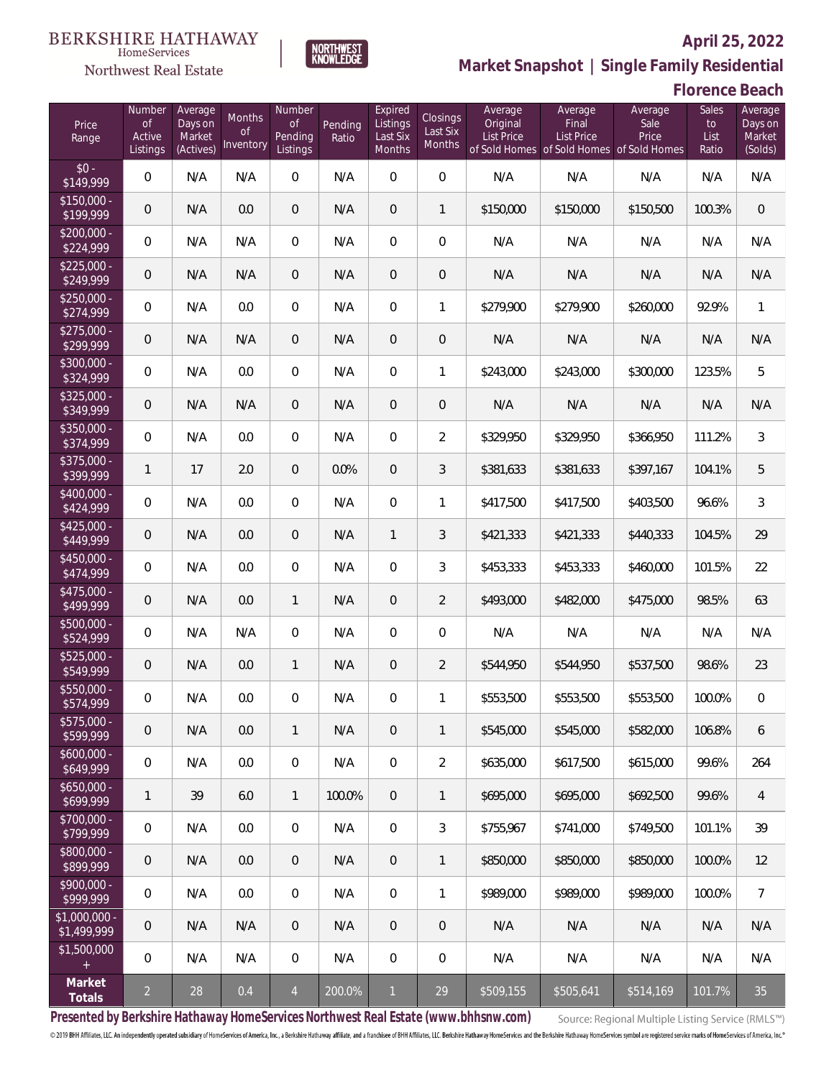

**NORTHWEST**<br>KNOWLEDGE

Northwest Real Estate

# **Market Snapshot | Single Family Residential**

**Florence Beach**

| Price<br>Range                | Number<br>of<br>Active<br>Listings | Average<br>Days on<br>Market<br>(Actives) | Months<br><b>of</b><br>Inventory | Number<br>Οf<br>Pending<br>Listings | Pending<br>Ratio | Expired<br>Listings<br>Last Six<br>Months | Closings<br>Last Six<br>Months | Average<br>Original<br><b>List Price</b> | Average<br>Final<br>List Price<br>of Sold Homes of Sold Homes of Sold Homes | Average<br>Sale<br>Price | Sales<br>to<br>List<br>Ratio | Average<br>Days on<br>Market<br>(Solds) |
|-------------------------------|------------------------------------|-------------------------------------------|----------------------------------|-------------------------------------|------------------|-------------------------------------------|--------------------------------|------------------------------------------|-----------------------------------------------------------------------------|--------------------------|------------------------------|-----------------------------------------|
| $$0 -$<br>\$149,999           | $\overline{0}$                     | N/A                                       | N/A                              | $\overline{0}$                      | N/A              | $\overline{0}$                            | $\overline{0}$                 | N/A                                      | N/A                                                                         | N/A                      | N/A                          | N/A                                     |
| $$150.000 -$<br>\$199,999     | 0                                  | N/A                                       | 0.0                              | $\overline{0}$                      | N/A              | $\overline{0}$                            | $\mathbf{1}$                   | \$150,000                                | \$150,000                                                                   | \$150,500                | 100.3%                       | $\overline{0}$                          |
| $$200,000 -$<br>\$224,999     | $\overline{0}$                     | N/A                                       | N/A                              | $\overline{0}$                      | N/A              | $\overline{0}$                            | $\overline{0}$                 | N/A                                      | N/A                                                                         | N/A                      | N/A                          | N/A                                     |
| $$225,000 -$<br>\$249,999     | 0                                  | N/A                                       | N/A                              | $\overline{0}$                      | N/A              | $\overline{0}$                            | $\mathbf 0$                    | N/A                                      | N/A                                                                         | N/A                      | N/A                          | N/A                                     |
| $$250,000 -$<br>\$274,999     | $\mathbf 0$                        | N/A                                       | 0.0                              | $\overline{0}$                      | N/A              | $\overline{0}$                            | $\mathbf{1}$                   | \$279,900                                | \$279,900                                                                   | \$260,000                | 92.9%                        | 1                                       |
| $$275,000 -$<br>\$299,999     | 0                                  | N/A                                       | N/A                              | $\overline{0}$                      | N/A              | $\overline{0}$                            | $\mathbf 0$                    | N/A                                      | N/A                                                                         | N/A                      | N/A                          | N/A                                     |
| \$300,000 -<br>\$324,999      | $\overline{0}$                     | N/A                                       | 0.0                              | $\overline{0}$                      | N/A              | $\overline{0}$                            | $\mathbf{1}$                   | \$243,000                                | \$243,000                                                                   | \$300,000                | 123.5%                       | 5                                       |
| $$325,000 -$<br>\$349,999     | 0                                  | N/A                                       | N/A                              | $\overline{0}$                      | N/A              | $\overline{0}$                            | $\mathbf 0$                    | N/A                                      | N/A                                                                         | N/A                      | N/A                          | N/A                                     |
| $$350,000 -$<br>\$374,999     | $\mathbf 0$                        | N/A                                       | 0.0                              | $\overline{0}$                      | N/A              | $\overline{0}$                            | $\overline{2}$                 | \$329,950                                | \$329,950                                                                   | \$366,950                | 111.2%                       | 3                                       |
| \$375,000 -<br>\$399,999      | 1                                  | 17                                        | 2.0                              | $\overline{0}$                      | 0.0%             | $\overline{0}$                            | 3                              | \$381,633                                | \$381,633                                                                   | \$397,167                | 104.1%                       | 5                                       |
| \$400,000 -<br>\$424,999      | $\overline{0}$                     | N/A                                       | 0.0                              | $\overline{0}$                      | N/A              | $\overline{0}$                            | $\mathbf{1}$                   | \$417,500                                | \$417,500                                                                   | \$403,500                | 96.6%                        | 3                                       |
| $$425,000 -$<br>\$449,999     | 0                                  | N/A                                       | 0.0                              | $\overline{0}$                      | N/A              | $\mathbf{1}$                              | 3                              | \$421,333                                | \$421,333                                                                   | \$440,333                | 104.5%                       | 29                                      |
| \$450,000 -<br>\$474,999      | $\overline{0}$                     | N/A                                       | 0.0                              | $\overline{0}$                      | N/A              | $\overline{0}$                            | 3                              | \$453,333                                | \$453,333                                                                   | \$460,000                | 101.5%                       | 22                                      |
| $$475,000 -$<br>\$499,999     | 0                                  | N/A                                       | 0.0                              | $\mathbf{1}$                        | N/A              | $\overline{0}$                            | $\overline{2}$                 | \$493,000                                | \$482,000                                                                   | \$475,000                | 98.5%                        | 63                                      |
| \$500,000 -<br>\$524,999      | $\overline{0}$                     | N/A                                       | N/A                              | $\overline{0}$                      | N/A              | $\overline{0}$                            | $\mathbf 0$                    | N/A                                      | N/A                                                                         | N/A                      | N/A                          | N/A                                     |
| $$525,000 -$<br>\$549,999     | 0                                  | N/A                                       | 0.0                              | $\mathbf{1}$                        | N/A              | $\overline{0}$                            | $\overline{2}$                 | \$544,950                                | \$544,950                                                                   | \$537,500                | 98.6%                        | 23                                      |
| \$550,000 -<br>\$574,999      | 0                                  | N/A                                       | $0.0\,$                          | 0                                   | N/A              | $\overline{0}$                            | 1                              | \$553,500                                | \$553,500                                                                   | \$553,500                | 100.0%                       | $\mathbf 0$                             |
| $$575,000 -$<br>\$599,999     | 0                                  | N/A                                       | 0.0                              | $\mathbf{1}$                        | N/A              | $\overline{0}$                            | $\mathbf{1}$                   | \$545,000                                | \$545,000                                                                   | \$582,000                | 106.8%                       | 6                                       |
| $$600,000 -$<br>\$649,999     | $\overline{0}$                     | N/A                                       | 0.0                              | $\overline{0}$                      | N/A              | $\overline{0}$                            | $\overline{2}$                 | \$635,000                                | \$617,500                                                                   | \$615,000                | 99.6%                        | 264                                     |
| $$650,000 -$<br>\$699,999     | 1                                  | 39                                        | 6.0                              | $\mathbf{1}$                        | 100.0%           | $\overline{0}$                            | $\mathbf{1}$                   | \$695,000                                | \$695,000                                                                   | \$692,500                | 99.6%                        | 4                                       |
| $$700,000 -$<br>\$799,999     | $\mathbf 0$                        | N/A                                       | 0.0                              | $\overline{0}$                      | N/A              | $\overline{0}$                            | 3                              | \$755,967                                | \$741,000                                                                   | \$749,500                | 101.1%                       | 39                                      |
| \$800,000 -<br>\$899,999      | $\overline{0}$                     | N/A                                       | 0.0                              | $\overline{0}$                      | N/A              | $\overline{0}$                            | $\mathbf{1}$                   | \$850,000                                | \$850,000                                                                   | \$850,000                | 100.0%                       | 12                                      |
| $$900,000 -$<br>\$999,999     | $\overline{0}$                     | N/A                                       | 0.0                              | $\overline{0}$                      | N/A              | $\boldsymbol{0}$                          | 1                              | \$989,000                                | \$989,000                                                                   | \$989,000                | 100.0%                       | $\overline{7}$                          |
| $$1,000,000 -$<br>\$1,499,999 | $\overline{0}$                     | N/A                                       | N/A                              | $\overline{0}$                      | N/A              | $\overline{0}$                            | $\mathbf 0$                    | N/A                                      | N/A                                                                         | N/A                      | N/A                          | N/A                                     |
| \$1,500,000                   | $\mathbf 0$                        | N/A                                       | N/A                              | $\mathbf 0$                         | N/A              | 0                                         | 0                              | N/A                                      | N/A                                                                         | N/A                      | N/A                          | N/A                                     |
| Market<br>Totals              | $\overline{a}$                     | 28                                        | 0.4                              | $\overline{4}$                      | 200.0%           | $\mathbf{1}$                              | 29                             | \$509,155                                | \$505,641                                                                   | \$514,169                | 101.7%                       | 35                                      |

**Presented by Berkshire Hathaway HomeServices Northwest Real Estate (www.bhhsnw.com)**

Source: Regional Multiple Listing Service (RMLS™)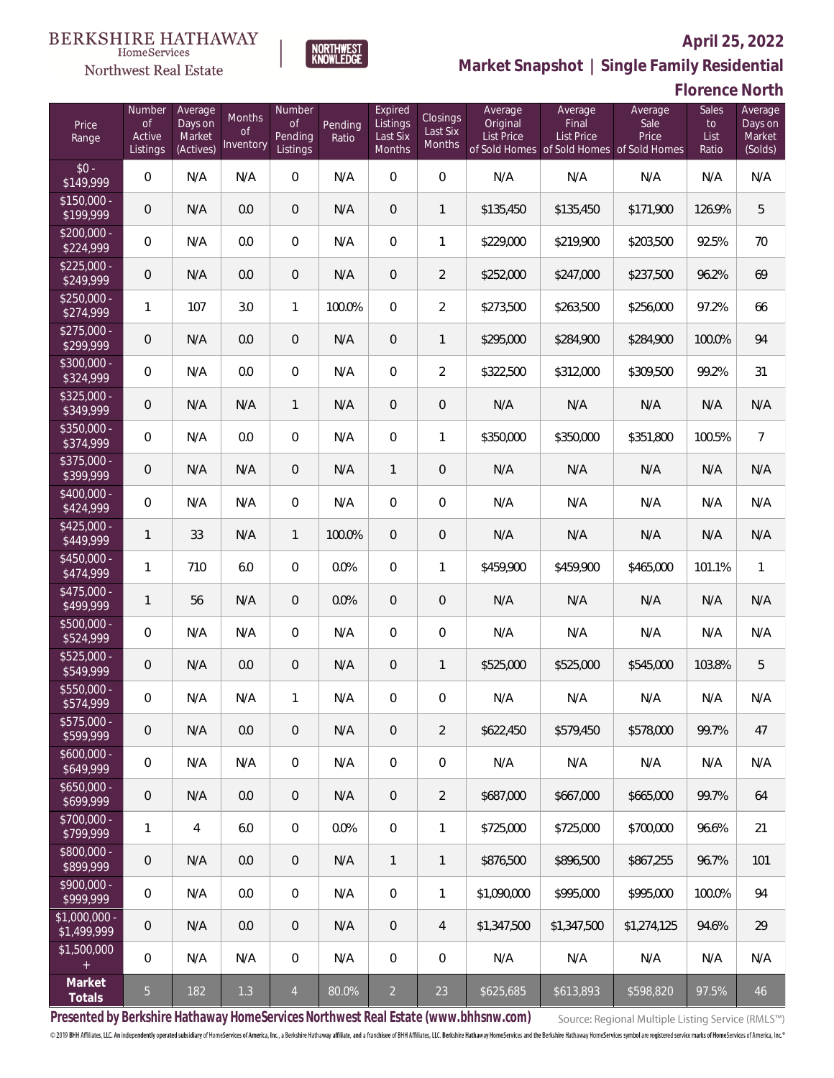

HomeServices Northwest Real Estate

**Market Snapshot | Single Family Residential**

# **Florence North**

| Price<br>Range                   | Number<br>of<br>Active<br>Listings | Average<br>Days on<br>Market<br>(Actives) | <b>Months</b><br><b>of</b><br>Inventory | Number<br><b>of</b><br>Pending<br>Listings | Pending<br>Ratio | Expired<br>Listings<br>Last Six<br>Months | <b>Closings</b><br>Last Six<br>Months | Average<br>Original<br>List Price | Average<br>Final<br>List Price<br>of Sold Homes of Sold Homes of Sold Homes | Average<br>Sale<br>Price | Sales<br>to<br>List<br>Ratio | Average<br>Days on<br>Market<br>(Solds) |
|----------------------------------|------------------------------------|-------------------------------------------|-----------------------------------------|--------------------------------------------|------------------|-------------------------------------------|---------------------------------------|-----------------------------------|-----------------------------------------------------------------------------|--------------------------|------------------------------|-----------------------------------------|
| $$0 -$<br>\$149,999              | $\overline{0}$                     | N/A                                       | N/A                                     | $\Omega$                                   | N/A              | $\Omega$                                  | $\overline{0}$                        | N/A                               | N/A                                                                         | N/A                      | N/A                          | N/A                                     |
| $$150,000 -$<br>\$199,999        | 0                                  | N/A                                       | 0.0                                     | $\overline{0}$                             | N/A              | $\overline{0}$                            | $\mathbf{1}$                          | \$135,450                         | \$135,450                                                                   | \$171,900                | 126.9%                       | 5                                       |
| $$200,000 -$<br>\$224,999        | $\overline{0}$                     | N/A                                       | 0.0                                     | $\overline{0}$                             | N/A              | $\overline{0}$                            | 1                                     | \$229,000                         | \$219,900                                                                   | \$203,500                | 92.5%                        | 70                                      |
| $$225,000 -$<br>\$249,999        | 0                                  | N/A                                       | 0.0                                     | $\overline{0}$                             | N/A              | $\overline{0}$                            | $\overline{2}$                        | \$252,000                         | \$247,000                                                                   | \$237,500                | 96.2%                        | 69                                      |
| $$250,000 -$<br>\$274,999        | 1                                  | 107                                       | 3.0                                     | $\mathbf{1}$                               | 100.0%           | $\Omega$                                  | $\sqrt{2}$                            | \$273,500                         | \$263,500                                                                   | \$256,000                | 97.2%                        | 66                                      |
| $$275,000 -$<br>\$299,999        | $\overline{0}$                     | N/A                                       | 0.0                                     | $\overline{0}$                             | N/A              | $\overline{0}$                            | $\overline{1}$                        | \$295,000                         | \$284,900                                                                   | \$284,900                | 100.0%                       | 94                                      |
| \$300,000 -<br>\$324,999         | $\overline{0}$                     | N/A                                       | 0.0                                     | $\overline{0}$                             | N/A              | $\Omega$                                  | $\sqrt{2}$                            | \$322,500                         | \$312,000                                                                   | \$309,500                | 99.2%                        | 31                                      |
| \$325,000 -<br>\$349,999         | $\overline{0}$                     | N/A                                       | N/A                                     | $\mathbf{1}$                               | N/A              | $\Omega$                                  | $\overline{0}$                        | N/A                               | N/A                                                                         | N/A                      | N/A                          | N/A                                     |
| \$350,000 -<br>\$374,999         | $\overline{0}$                     | N/A                                       | 0.0                                     | $\overline{0}$                             | N/A              | $\overline{0}$                            | $\mathbf{1}$                          | \$350,000                         | \$350,000                                                                   | \$351,800                | 100.5%                       | $\overline{7}$                          |
| \$375,000 -<br>\$399,999         | $\overline{0}$                     | N/A                                       | N/A                                     | $\overline{0}$                             | N/A              | $\mathbf{1}$                              | $\overline{0}$                        | N/A                               | N/A                                                                         | N/A                      | N/A                          | N/A                                     |
| $\sqrt{$400,000}$ -<br>\$424,999 | $\overline{0}$                     | N/A                                       | N/A                                     | $\overline{0}$                             | N/A              | $\Omega$                                  | $\overline{0}$                        | N/A                               | N/A                                                                         | N/A                      | N/A                          | N/A                                     |
| $$425,000 -$<br>\$449,999        | 1                                  | 33                                        | N/A                                     | $\mathbf{1}$                               | 100.0%           | $\Omega$                                  | $\overline{0}$                        | N/A                               | N/A                                                                         | N/A                      | N/A                          | N/A                                     |
| $$450,000 -$<br>\$474,999        | 1                                  | 710                                       | 6.0                                     | $\overline{0}$                             | 0.0%             | $\Omega$                                  | 1                                     | \$459,900                         | \$459,900                                                                   | \$465,000                | 101.1%                       | $\mathbf{1}$                            |
| $$475,000 -$<br>\$499,999        | 1                                  | 56                                        | N/A                                     | $\overline{0}$                             | 0.0%             | $\Omega$                                  | $\overline{0}$                        | N/A                               | N/A                                                                         | N/A                      | N/A                          | N/A                                     |
| \$500,000 -<br>\$524,999         | $\overline{0}$                     | N/A                                       | N/A                                     | $\Omega$                                   | N/A              | $\Omega$                                  | $\overline{0}$                        | N/A                               | N/A                                                                         | N/A                      | N/A                          | N/A                                     |
| $$525,000 -$<br>\$549,999        | 0                                  | N/A                                       | 0.0                                     | $\overline{0}$                             | N/A              | $\overline{0}$                            | $\mathbf{1}$                          | \$525,000                         | \$525,000                                                                   | \$545,000                | 103.8%                       | 5                                       |
| \$550,000 -<br>\$574,999         | 0                                  | N/A                                       | N/A                                     | $\mathbf{1}$                               | N/A              | 0                                         | $\mathbf 0$                           | N/A                               | N/A                                                                         | N/A                      | N/A                          | N/A                                     |
| $$575,000 -$<br>\$599,999        | $\mathbf 0$                        | N/A                                       | 0.0                                     | $\overline{0}$                             | N/A              | $\mathbf 0$                               | $\overline{2}$                        | \$622,450                         | \$579,450                                                                   | \$578,000                | 99.7%                        | 47                                      |
| $$600,000 -$<br>\$649,999        | $\boldsymbol{0}$                   | N/A                                       | N/A                                     | $\boldsymbol{0}$                           | N/A              | $\overline{0}$                            | $\mathbf 0$                           | N/A                               | N/A                                                                         | N/A                      | N/A                          | N/A                                     |
| $$650,000 -$<br>\$699,999        | $\mathbf 0$                        | N/A                                       | 0.0                                     | $\overline{0}$                             | N/A              | $\overline{0}$                            | $\overline{2}$                        | \$687,000                         | \$667,000                                                                   | \$665,000                | 99.7%                        | 64                                      |
| $$700,000 -$<br>\$799,999        | 1                                  | $\overline{4}$                            | 6.0                                     | $\boldsymbol{0}$                           | 0.0%             | $\mathbf 0$                               | 1                                     | \$725,000                         | \$725,000                                                                   | \$700,000                | 96.6%                        | 21                                      |
| $$800,000 -$<br>\$899,999        | $\mathbf 0$                        | N/A                                       | 0.0                                     | $\overline{0}$                             | N/A              | $\mathbf{1}$                              | $\mathbf{1}$                          | \$876,500                         | \$896,500                                                                   | \$867,255                | 96.7%                        | 101                                     |
| $$900,000 -$<br>\$999,999        | $\overline{0}$                     | N/A                                       | 0.0                                     | $\boldsymbol{0}$                           | N/A              | $\overline{0}$                            | 1                                     | \$1,090,000                       | \$995,000                                                                   | \$995,000                | 100.0%                       | 94                                      |
| $$1,000,000 -$<br>\$1,499,999    | $\mathbf 0$                        | N/A                                       | 0.0                                     | $\overline{0}$                             | N/A              | 0                                         | $\overline{4}$                        | \$1,347,500                       | \$1,347,500                                                                 | \$1,274,125              | 94.6%                        | 29                                      |
| \$1,500,000<br>$+$               | 0                                  | N/A                                       | N/A                                     | $\boldsymbol{0}$                           | N/A              | $\mathbf 0$                               | $\mathbf 0$                           | N/A                               | N/A                                                                         | N/A                      | N/A                          | N/A                                     |
| Market<br>Totals                 | 5 <sub>o</sub>                     | 182                                       | 1.3                                     | $\overline{4}$                             | 80.0%            | $\overline{2}$                            | 23                                    | \$625,685                         | \$613,893                                                                   | \$598,820                | 97.5%                        | 46                                      |

**Presented by Berkshire Hathaway HomeServices Northwest Real Estate (www.bhhsnw.com)**

Source: Regional Multiple Listing Service (RMLS™)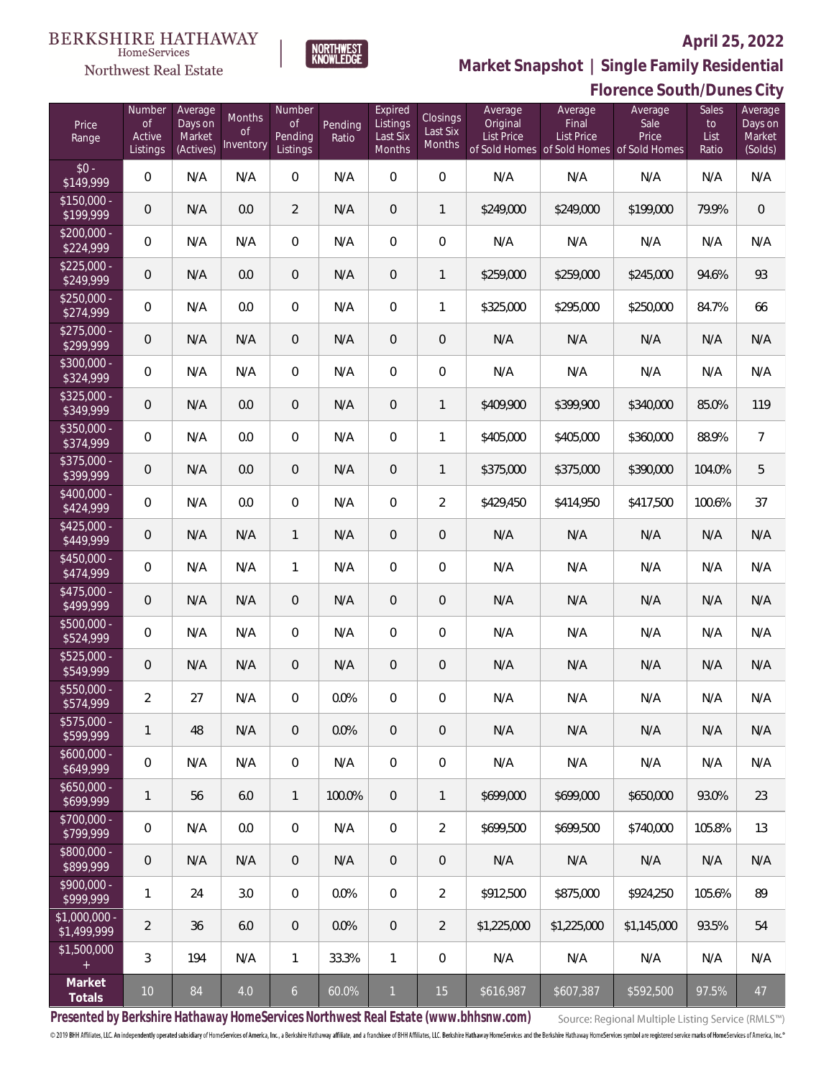

NORTHWEST<br>KNOWLFDGF

Northwest Real Estate

**Market Snapshot | Single Family Residential**

|                                 | Florence South/Dunes City          |                                           |                           |                                            |                  |                                           |                                |                                          |                                                                                    |                          |                              |                                         |
|---------------------------------|------------------------------------|-------------------------------------------|---------------------------|--------------------------------------------|------------------|-------------------------------------------|--------------------------------|------------------------------------------|------------------------------------------------------------------------------------|--------------------------|------------------------------|-----------------------------------------|
| Price<br>Range                  | Number<br>0f<br>Active<br>Listings | Average<br>Days on<br>Market<br>(Actives) | Months<br>Οf<br>Inventory | Number<br><b>of</b><br>Pending<br>Listings | Pending<br>Ratio | Expired<br>Listings<br>Last Six<br>Months | Closings<br>Last Six<br>Months | Average<br>Original<br><b>List Price</b> | Average<br>Final<br><b>List Price</b><br>of Sold Homes of Sold Homes of Sold Homes | Average<br>Sale<br>Price | Sales<br>to<br>List<br>Ratio | Average<br>Days on<br>Market<br>(Solds) |
| $$0 -$<br>\$149,999             | $\mathbf 0$                        | N/A                                       | N/A                       | $\,0\,$                                    | N/A              | $\mathbf 0$                               | $\mathbf 0$                    | N/A                                      | N/A                                                                                | N/A                      | N/A                          | N/A                                     |
| $$150,000 -$<br>\$199,999       | $\mathbf 0$                        | N/A                                       | 0.0                       | $\overline{2}$                             | N/A              | $\mathbf 0$                               | 1                              | \$249,000                                | \$249,000                                                                          | \$199,000                | 79.9%                        | $\boldsymbol{0}$                        |
| $$200,000 -$<br>\$224,999       | $\mathbf 0$                        | N/A                                       | N/A                       | $\,0\,$                                    | N/A              | $\overline{0}$                            | $\mathbf 0$                    | N/A                                      | N/A                                                                                | N/A                      | N/A                          | N/A                                     |
| $$225,000 -$<br>\$249,999       | $\mathbf 0$                        | N/A                                       | 0.0                       | $\mathbf 0$                                | N/A              | $\boldsymbol{0}$                          | $\mathbf 1$                    | \$259,000                                | \$259,000                                                                          | \$245,000                | 94.6%                        | 93                                      |
| $$250,000 -$<br>\$274,999       | $\mathbf 0$                        | N/A                                       | 0.0                       | $\,0\,$                                    | N/A              | $\mathbf 0$                               | $\mathbf{1}$                   | \$325,000                                | \$295,000                                                                          | \$250,000                | 84.7%                        | 66                                      |
| $$275,000 -$<br>\$299,999       | $\mathbf 0$                        | N/A                                       | N/A                       | $\mathbf 0$                                | N/A              | $\mathbf 0$                               | $\mathbf 0$                    | N/A                                      | N/A                                                                                | N/A                      | N/A                          | N/A                                     |
| $$300,000 -$<br>\$324,999       | $\mathbf 0$                        | N/A                                       | N/A                       | $\,0\,$                                    | N/A              | $\mathbf 0$                               | $\mathbf 0$                    | N/A                                      | N/A                                                                                | N/A                      | N/A                          | N/A                                     |
| $$325,000 -$<br>\$349,999       | $\mathbf 0$                        | N/A                                       | 0.0                       | $\mathbf 0$                                | N/A              | $\mathbf 0$                               | $\mathbf{1}$                   | \$409,900                                | \$399,900                                                                          | \$340,000                | 85.0%                        | 119                                     |
| $$350,000 -$<br>\$374,999       | $\mathbf 0$                        | N/A                                       | 0.0                       | $\,0\,$                                    | N/A              | $\mathbf 0$                               | $\mathbf{1}$                   | \$405,000                                | \$405,000                                                                          | \$360,000                | 88.9%                        | $\overline{7}$                          |
| $$375,000 -$<br>\$399,999       | $\mathbf 0$                        | N/A                                       | 0.0                       | $\mathbf 0$                                | N/A              | $\boldsymbol{0}$                          | $\mathbf 1$                    | \$375,000                                | \$375,000                                                                          | \$390,000                | 104.0%                       | 5                                       |
| $$400,000 -$<br>\$424,999       | $\mathbf 0$                        | N/A                                       | 0.0                       | $\,0\,$                                    | N/A              | $\mathbf 0$                               | $\overline{2}$                 | \$429,450                                | \$414,950                                                                          | \$417,500                | 100.6%                       | 37                                      |
| $$425,000 -$<br>\$449,999       | $\mathbf 0$                        | N/A                                       | N/A                       | $\mathbf{1}$                               | N/A              | $\mathbf 0$                               | $\mathbf 0$                    | N/A                                      | N/A                                                                                | N/A                      | N/A                          | N/A                                     |
| $$450,000 -$<br>\$474,999       | $\mathbf 0$                        | N/A                                       | N/A                       | $\mathbf{1}$                               | N/A              | $\mathbf 0$                               | $\mathbf 0$                    | N/A                                      | N/A                                                                                | N/A                      | N/A                          | N/A                                     |
| $$475,000 -$<br>\$499,999       | $\mathbf 0$                        | N/A                                       | N/A                       | $\overline{0}$                             | N/A              | $\mathbf 0$                               | $\mathbf 0$                    | N/A                                      | N/A                                                                                | N/A                      | N/A                          | N/A                                     |
| $$500,000 -$<br>\$524,999       | $\mathbf 0$                        | N/A                                       | N/A                       | $\overline{0}$                             | N/A              | $\mathbf 0$                               | $\mathbf 0$                    | N/A                                      | N/A                                                                                | N/A                      | N/A                          | N/A                                     |
| $$525,000 -$<br>\$549,999       | $\overline{0}$                     | N/A                                       | N/A                       | $\overline{0}$                             | N/A              | $\overline{0}$                            | $\mathbf 0$                    | N/A                                      | N/A                                                                                | N/A                      | N/A                          | N/A                                     |
| $$550,000 -$<br>\$574,999       | 2                                  | 27                                        | N/A                       | $\overline{0}$                             | 0.0%             | $\mathbf{0}$                              | $\mathbf{0}$                   | N/A                                      | N/A                                                                                | N/A                      | N/A                          | N/A                                     |
| $$575,000 -$<br>\$599,999       | 1                                  | 48                                        | N/A                       | $\overline{0}$                             | 0.0%             | $\overline{0}$                            | $\overline{0}$                 | N/A                                      | N/A                                                                                | N/A                      | N/A                          | N/A                                     |
| $$600,000 -$<br>\$649,999       | $\mathbf 0$                        | N/A                                       | N/A                       | $\overline{0}$                             | N/A              | $\overline{0}$                            | $\overline{0}$                 | N/A                                      | N/A                                                                                | N/A                      | N/A                          | N/A                                     |
| $$650,000 -$<br>\$699,999       | 1                                  | 56                                        | 6.0                       | $\mathbf{1}$                               | 100.0%           | $\overline{0}$                            | 1                              | \$699,000                                | \$699,000                                                                          | \$650,000                | 93.0%                        | 23                                      |
| $$700,000 -$<br>\$799,999       | $\mathbf 0$                        | N/A                                       | 0.0                       | $\overline{0}$                             | N/A              | $\overline{0}$                            | $\overline{2}$                 | \$699,500                                | \$699,500                                                                          | \$740,000                | 105.8%                       | 13                                      |
| $$800,000 -$<br>\$899,999       | $\overline{0}$                     | N/A                                       | N/A                       | $\overline{0}$                             | N/A              | $\overline{0}$                            | $\overline{0}$                 | N/A                                      | N/A                                                                                | N/A                      | N/A                          | N/A                                     |
| $$900,000 -$<br>\$999.999       | 1                                  | 24                                        | 3.0                       | $\overline{0}$                             | 0.0%             | $\overline{0}$                            | $\overline{2}$                 | \$912,500                                | \$875,000                                                                          | \$924,250                | 105.6%                       | 89                                      |
| $$1,000,000 -$<br>\$1,499,999   | 2                                  | 36                                        | 6.0                       | $\overline{0}$                             | $0.0\%$          | $\overline{0}$                            | $\overline{2}$                 | \$1,225,000                              | \$1,225,000                                                                        | \$1,145,000              | 93.5%                        | 54                                      |
| \$1,500,000<br>$\boldsymbol{+}$ | 3                                  | 194                                       | N/A                       | $\mathbf{1}$                               | 33.3%            | $\mathbf{1}$                              | $\overline{0}$                 | N/A                                      | N/A                                                                                | N/A                      | N/A                          | N/A                                     |
| Market<br>Totals                | 10 <sup>°</sup>                    | 84                                        | 4.0                       | 6                                          | 60.0%            | $\mathbf{1}$                              | 15                             | \$616,987                                | \$607,387                                                                          | \$592,500                | 97.5%                        | 47                                      |

**Presented by Berkshire Hathaway HomeServices Northwest Real Estate (www.bhhsnw.com)**

Source: Regional Multiple Listing Service (RMLS™)